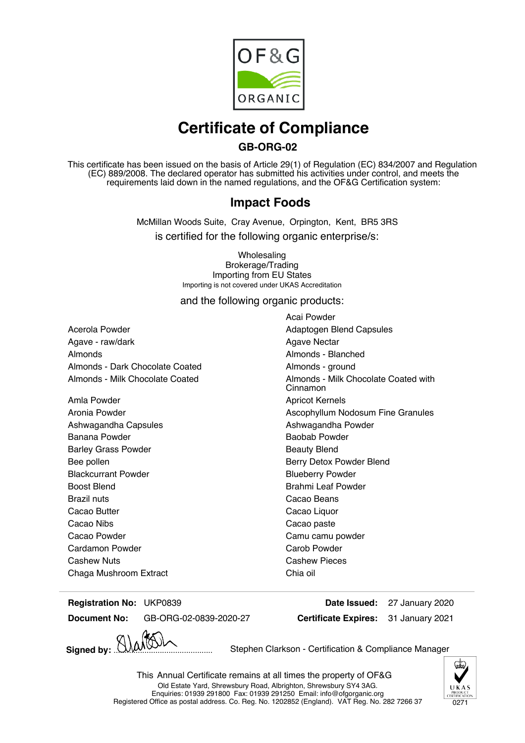

# **Certificate of Compliance**

### **GB-ORG-02**

This certificate has been issued on the basis of Article 29(1) of Regulation (EC) 834/2007 and Regulation (EC) 889/2008. The declared operator has submitted his activities under control, and meets the requirements laid down in the named regulations, and the OF&G Certification system:

### **Impact Foods**

McMillan Woods Suite, Cray Avenue, Orpington, Kent, BR5 3RS is certified for the following organic enterprise/s:

> **Wholesaling** Brokerage/Trading Importing from EU States Importing is not covered under UKAS Accreditation

and the following organic products:

Acerola Powder **Adaptogen Blend Capsules** Adaptogen Blend Capsules Agave - raw/dark and the state of the Agave Nectar Almonds Almonds - Blanched Almonds - Dark Chocolate Coated **Almonds** - ground

Amla Powder **Amix Apricot Kernels** Ashwagandha Capsules Ashwagandha Powder Banana Powder **Baobab Powder** Baobab Powder Barley Grass Powder **Beauty Blend** Beauty Blend Bee pollen Berry Detox Powder Blend Blackcurrant Powder **Blueberry Powder** Blueberry Powder Boost Blend Brahmi Leaf Powder Brazil nuts Cacao Beans Cacao Butter **Cacao Liquor** Cacao Liquor Cacao Nibs Cacao paste Cacao Powder **Cacao Powder** Camu camu powder Cardamon Powder **Carob Powder** Carob Powder Cashew Nuts Cashew Pieces Chaga Mushroom Extract Chia oil

Acai Powder Almonds - Milk Chocolate Coated **Almonds** - Milk Chocolate Coated with Cinnamon Aronia Powder **Assumed Assumed Ascophyllum Nodosum Fine Granules** Ascophyllum Nodosum Fine Granules

**Registration No: Date Issued:** UKP0839 27 January 2020

**Document No:** GB-ORG-02-0839-2020-27

**Signed by:** ............................................. Stephen Clarkson - Certification & Compliance Manager

**Certificate Expires:**



31 January 2021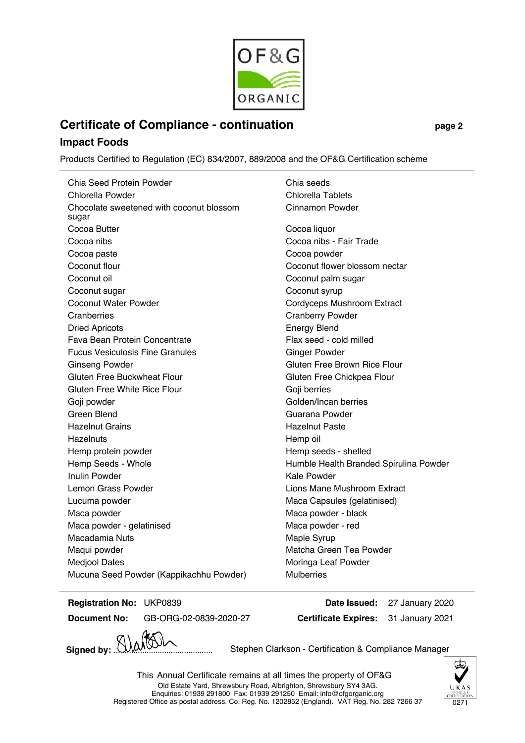

## **Certificate of Compliance - continuation page 2**

#### **Impact Foods**

Products Certified to Regulation (EC) 834/2007, 889/2008 and the OF&G Certification scheme

Chia Seed Protein Powder Chia seeds Chlorella Powder Chlorella Tablets Chocolate sweetened with coconut blossom sugar Cinnamon Powder Cocoa Butter Cocoa liquor Cocoa nibs Cocoa nibs - Fair Trade Cocoa paste Cocoa powder Coconut flour Coconut flower blossom nectar Coconut oil **Coconut of Coconut palm sugar** Coconut sugar Coconut syrup Coconut Water Powder **Cordyceps Mushroom Extract** Cranberries Cranberry Powder Dried Apricots Energy Blend Fava Bean Protein Concentrate Flax seed - cold milled Fucus Vesiculosis Fine Granules Ginger Powder Ginseng Powder **Gluten Free Brown Rice Flour** Gluten Free Buckwheat Flour **Gluten Free Chickpea Flour** Gluten Free Chickpea Flour Gluten Free White Rice Flour Goji berries Goji powder Golden/Incan berries Green Blend Guarana Powder Hazelnut Grains **Hazelnut Paste** Hazelnuts **Hazelnuts** Hemp oil Hemp protein powder **Hemp** seeds - shelled Hemp Seeds - Whole **Humble Health Branded Spirulina Powder** Inulin Powder **Kale Powder** Kale Powder Lemon Grass Powder **Lions Mane Mushroom Extract** Lucuma powder **Maca Capsules (gelatinised)** Maca Capsules (gelatinised) Maca powder **Maca** powder - black Maca powder - gelatinised Maca powder - red Macadamia Nuts **Macadamia Nuts** Maple Syrup Maqui powder **Matcha Green Tea Powder** Matcha Green Tea Powder Medjool Dates **Mortana Leaf Powder** Moringa Leaf Powder Mucuna Seed Powder (Kappikachhu Powder) Mulberries

**Registration No:**

**Document No:** GB-ORG-02-0839-2020-27

**Certificate Expires: Date Issued:** UKP0839 27 January 2020 31 January 2021

Signed by:  $\bigcup_{\mathcal{M}}\bigotimes\bigwedge$  Stephen Clarkson - Certification & Compliance Manager